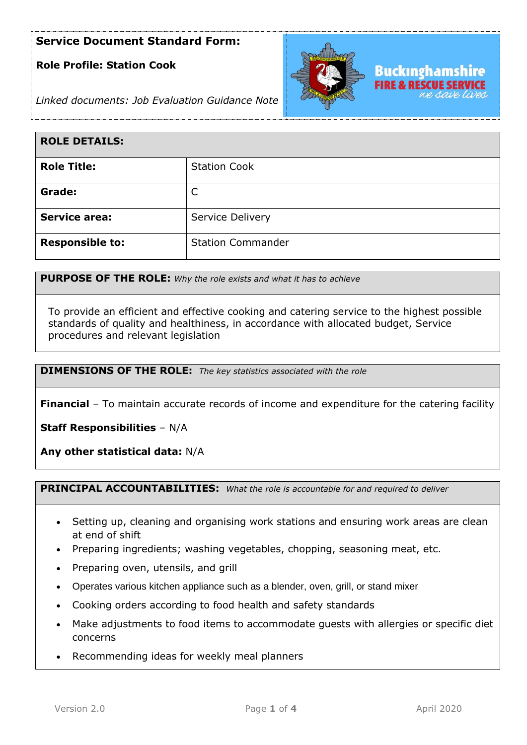# **Role Profile: Station Cook**



*Linked documents: Job Evaluation Guidance Note*

| <b>ROLE DETAILS:</b>   |                          |
|------------------------|--------------------------|
| <b>Role Title:</b>     | <b>Station Cook</b>      |
| Grade:                 |                          |
| <b>Service area:</b>   | Service Delivery         |
| <b>Responsible to:</b> | <b>Station Commander</b> |

**PURPOSE OF THE ROLE:** *Why the role exists and what it has to achieve* 

To provide an efficient and effective cooking and catering service to the highest possible standards of quality and healthiness, in accordance with allocated budget, Service procedures and relevant legislation

**DIMENSIONS OF THE ROLE:** *The key statistics associated with the role*

**Financial** – To maintain accurate records of income and expenditure for the catering facility

**Staff Responsibilities** – N/A

**Any other statistical data:** N/A

**PRINCIPAL ACCOUNTABILITIES:** *What the role is accountable for and required to deliver*

- Setting up, cleaning and organising work stations and ensuring work areas are clean at end of shift
- Preparing ingredients; washing vegetables, chopping, seasoning meat, etc.
- Preparing oven, utensils, and grill
- Operates various kitchen appliance such as a blender, oven, grill, or stand mixer
- Cooking orders according to food health and safety standards
- Make adjustments to food items to accommodate guests with allergies or specific diet concerns
- Recommending ideas for weekly meal planners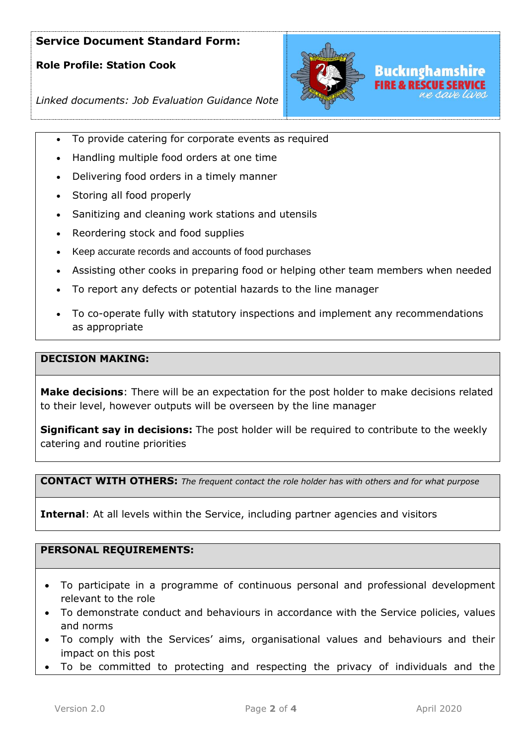# **Role Profile: Station Cook**



*Linked documents: Job Evaluation Guidance Note*

- To provide catering for corporate events as required
- Handling multiple food orders at one time
- Delivering food orders in a timely manner
- Storing all food properly
- Sanitizing and cleaning work stations and utensils
- Reordering stock and food supplies
- Keep accurate records and accounts of food purchases
- Assisting other cooks in preparing food or helping other team members when needed
- To report any defects or potential hazards to the line manager
- To co-operate fully with statutory inspections and implement any recommendations as appropriate

### **DECISION MAKING:**

**Make decisions**: There will be an expectation for the post holder to make decisions related to their level, however outputs will be overseen by the line manager

**Significant say in decisions:** The post holder will be required to contribute to the weekly catering and routine priorities

**CONTACT WITH OTHERS:** *The frequent contact the role holder has with others and for what purpose* 

**Internal**: At all levels within the Service, including partner agencies and visitors

## **PERSONAL REQUIREMENTS:**

- To participate in a programme of continuous personal and professional development relevant to the role
- To demonstrate conduct and behaviours in accordance with the Service policies, values and norms
- To comply with the Services' aims, organisational values and behaviours and their impact on this post
- To be committed to protecting and respecting the privacy of individuals and the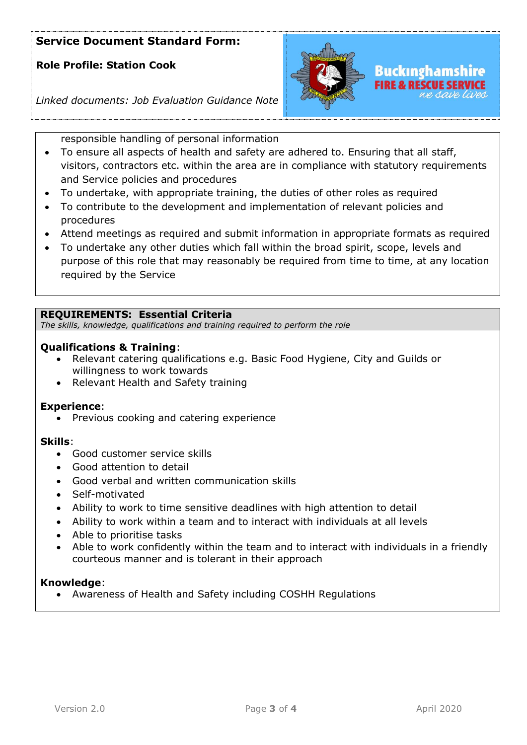# **Role Profile: Station Cook**



*Linked documents: Job Evaluation Guidance Note*

responsible handling of personal information

- To ensure all aspects of health and safety are adhered to. Ensuring that all staff, visitors, contractors etc. within the area are in compliance with statutory requirements and Service policies and procedures
- To undertake, with appropriate training, the duties of other roles as required
- To contribute to the development and implementation of relevant policies and procedures
- Attend meetings as required and submit information in appropriate formats as required
- To undertake any other duties which fall within the broad spirit, scope, levels and purpose of this role that may reasonably be required from time to time, at any location required by the Service

## **REQUIREMENTS: Essential Criteria**

*The skills, knowledge, qualifications and training required to perform the role*

## **Qualifications & Training**:

- Relevant catering qualifications e.g. Basic Food Hygiene, City and Guilds or willingness to work towards
- Relevant Health and Safety training

### **Experience**:

• Previous cooking and catering experience

### **Skills**:

- Good customer service skills
- Good attention to detail
- Good verbal and written communication skills
- Self-motivated
- Ability to work to time sensitive deadlines with high attention to detail
- Ability to work within a team and to interact with individuals at all levels
- Able to prioritise tasks
- Able to work confidently within the team and to interact with individuals in a friendly courteous manner and is tolerant in their approach

### **Knowledge**:

• Awareness of Health and Safety including COSHH Regulations